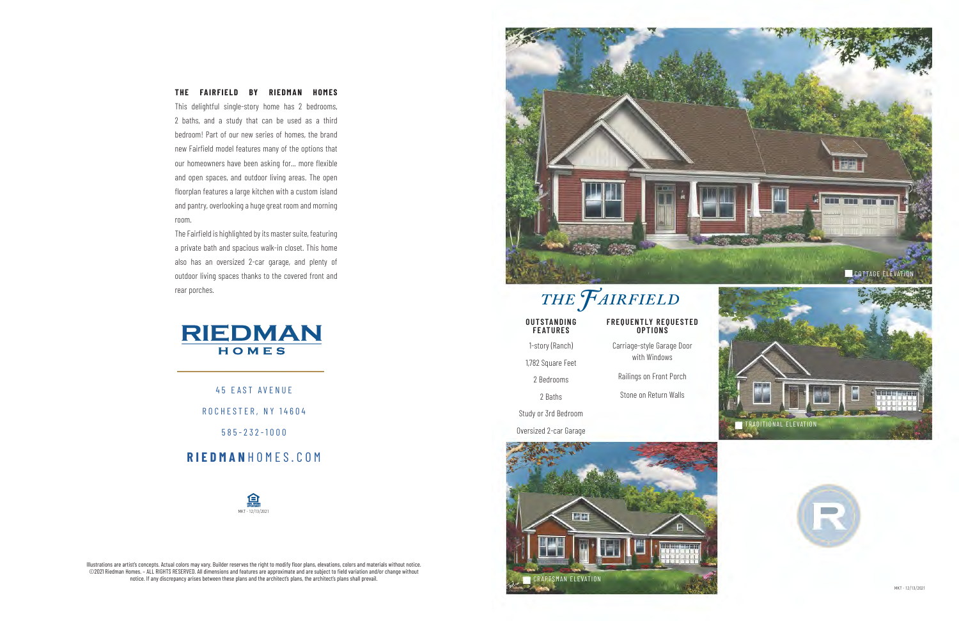45 EAST AVENUE ROCHESTER, NY 14604 585-232-1000

**RIEDMAN** HOMES.COM

### **THE FAIRFIELD BY RIEDMAN HOMES**

This delightful single-story home has 2 bedrooms, 2 baths, and a study that can be used as a third bedroom! Part of our new series of homes, the brand new Fairfield model features many of the options that our homeowners have been asking for... more flexible and open spaces, and outdoor living areas. The open floorplan features a large kitchen with a custom island and pantry, overlooking a huge great room and morning room.



| UU I S I A N U I N U<br><b>FEATURES</b> | <b>FREUUENILI REUUESIEI</b><br><b>OPTIONS</b> |
|-----------------------------------------|-----------------------------------------------|
| 1-story (Ranch)                         | Carriage-style Garage Door<br>with Windows    |
| 1,782 Square Feet                       |                                               |
| 2 Bedrooms                              | Railings on Front Porch                       |
| 2 Baths                                 | Stone on Return Walls                         |
| tudy or 3rd Bedroom                     |                                               |
| ersized 2-car Garage                    |                                               |
|                                         |                                               |



The Fairfield is highlighted by its master suite, featuring a private bath and spacious walk-in closet. This home also has an oversized 2-car garage, and plenty of outdoor living spaces thanks to the covered front and rear porches.



Illustrations are artist's concepts. Actual colors may vary. Builder reserves the right to modify floor plans, elevations, colors and materials without notice. ©2021 Riedman Homes. – ALL RIGHTS RESERVED. All dimensions and features are approximate and are subject to field variation and/or change without notice. If any discrepancy arises between these plans and the architect's plans, the architect's plans shall prevail.